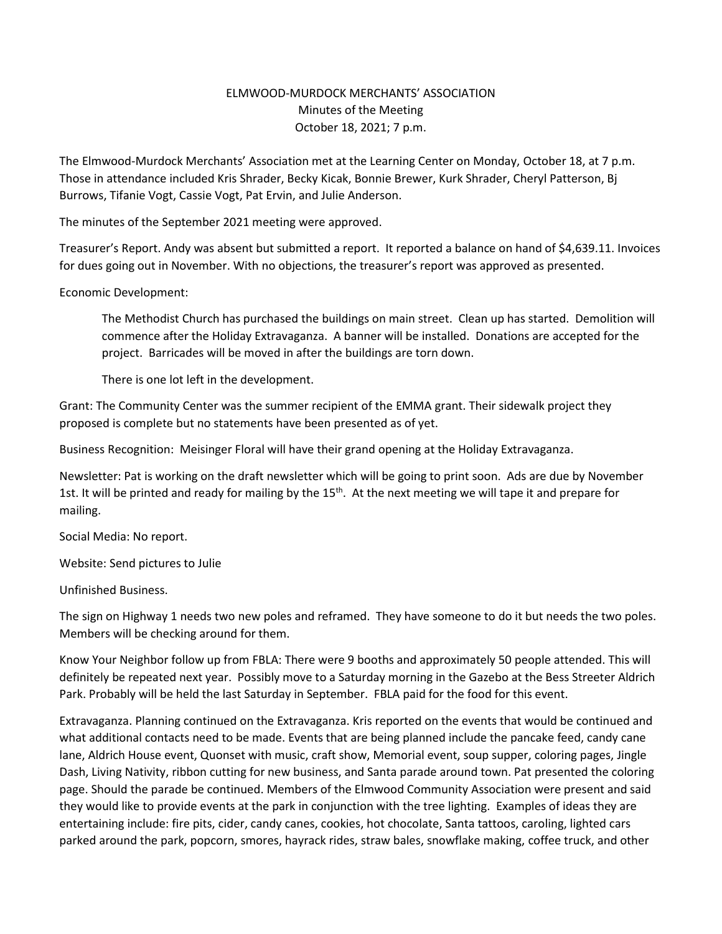## ELMWOOD-MURDOCK MERCHANTS' ASSOCIATION Minutes of the Meeting October 18, 2021; 7 p.m.

The Elmwood-Murdock Merchants' Association met at the Learning Center on Monday, October 18, at 7 p.m. Those in attendance included Kris Shrader, Becky Kicak, Bonnie Brewer, Kurk Shrader, Cheryl Patterson, Bj Burrows, Tifanie Vogt, Cassie Vogt, Pat Ervin, and Julie Anderson.

The minutes of the September 2021 meeting were approved.

Treasurer's Report. Andy was absent but submitted a report. It reported a balance on hand of \$4,639.11. Invoices for dues going out in November. With no objections, the treasurer's report was approved as presented.

## Economic Development:

The Methodist Church has purchased the buildings on main street. Clean up has started. Demolition will commence after the Holiday Extravaganza. A banner will be installed. Donations are accepted for the project. Barricades will be moved in after the buildings are torn down.

There is one lot left in the development.

Grant: The Community Center was the summer recipient of the EMMA grant. Their sidewalk project they proposed is complete but no statements have been presented as of yet.

Business Recognition: Meisinger Floral will have their grand opening at the Holiday Extravaganza.

Newsletter: Pat is working on the draft newsletter which will be going to print soon. Ads are due by November 1st. It will be printed and ready for mailing by the  $15<sup>th</sup>$ . At the next meeting we will tape it and prepare for mailing.

Social Media: No report.

Website: Send pictures to Julie

Unfinished Business.

The sign on Highway 1 needs two new poles and reframed. They have someone to do it but needs the two poles. Members will be checking around for them.

Know Your Neighbor follow up from FBLA: There were 9 booths and approximately 50 people attended. This will definitely be repeated next year. Possibly move to a Saturday morning in the Gazebo at the Bess Streeter Aldrich Park. Probably will be held the last Saturday in September. FBLA paid for the food for this event.

Extravaganza. Planning continued on the Extravaganza. Kris reported on the events that would be continued and what additional contacts need to be made. Events that are being planned include the pancake feed, candy cane lane, Aldrich House event, Quonset with music, craft show, Memorial event, soup supper, coloring pages, Jingle Dash, Living Nativity, ribbon cutting for new business, and Santa parade around town. Pat presented the coloring page. Should the parade be continued. Members of the Elmwood Community Association were present and said they would like to provide events at the park in conjunction with the tree lighting. Examples of ideas they are entertaining include: fire pits, cider, candy canes, cookies, hot chocolate, Santa tattoos, caroling, lighted cars parked around the park, popcorn, smores, hayrack rides, straw bales, snowflake making, coffee truck, and other